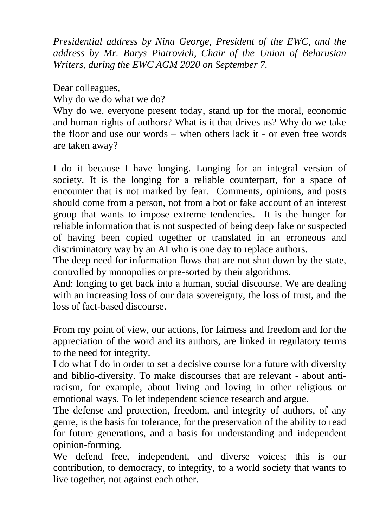*Presidential address by Nina George, President of the EWC, and the address by Mr. Barys Piatrovich, Chair of the Union of Belarusian Writers, during the EWC AGM 2020 on September 7.*

Dear colleagues,

Why do we do what we do?

Why do we, everyone present today, stand up for the moral, economic and human rights of authors? What is it that drives us? Why do we take the floor and use our words – when others lack it - or even free words are taken away?

I do it because I have longing. Longing for an integral version of society. It is the longing for a reliable counterpart, for a space of encounter that is not marked by fear. Comments, opinions, and posts should come from a person, not from a bot or fake account of an interest group that wants to impose extreme tendencies. It is the hunger for reliable information that is not suspected of being deep fake or suspected of having been copied together or translated in an erroneous and discriminatory way by an AI who is one day to replace authors.

The deep need for information flows that are not shut down by the state, controlled by monopolies or pre-sorted by their algorithms.

And: longing to get back into a human, social discourse. We are dealing with an increasing loss of our data sovereignty, the loss of trust, and the loss of fact-based discourse.

From my point of view, our actions, for fairness and freedom and for the appreciation of the word and its authors, are linked in regulatory terms to the need for integrity.

I do what I do in order to set a decisive course for a future with diversity and biblio-diversity. To make discourses that are relevant - about antiracism, for example, about living and loving in other religious or emotional ways. To let independent science research and argue.

The defense and protection, freedom, and integrity of authors, of any genre, is the basis for tolerance, for the preservation of the ability to read for future generations, and a basis for understanding and independent opinion-forming.

We defend free, independent, and diverse voices; this is our contribution, to democracy, to integrity, to a world society that wants to live together, not against each other.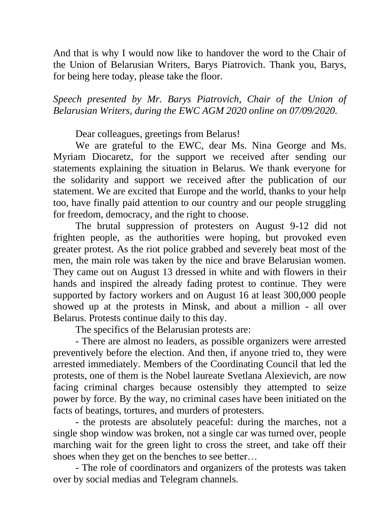And that is why I would now like to handover the word to the Chair of the Union of Belarusian Writers, Barys Piatrovich. Thank you, Barys, for being here today, please take the floor.

*Speech presented by Mr. Barys Piatrovich, Chair of the Union of Belarusian Writers, during the EWC AGM 2020 online on 07/09/2020.*

Dear colleagues, greetings from Belarus!

We are grateful to the EWC, dear Ms. Nina George and Ms. Myriam Diocaretz, for the support we received after sending our statements explaining the situation in Belarus. We thank everyone for the solidarity and support we received after the publication of our statement. We are excited that Europe and the world, thanks to your help too, have finally paid attention to our country and our people struggling for freedom, democracy, and the right to choose.

The brutal suppression of protesters on August 9-12 did not frighten people, as the authorities were hoping, but provoked even greater protest. As the riot police grabbed and severely beat most of the men, the main role was taken by the nice and brave Belarusian women. They came out on August 13 dressed in white and with flowers in their hands and inspired the already fading protest to continue. They were supported by factory workers and on August 16 at least 300,000 people showed up at the protests in Minsk, and about a million - all over Belarus. Protests continue daily to this day.

The specifics of the Belarusian protests are:

- There are almost no leaders, as possible organizers were arrested preventively before the election. And then, if anyone tried to, they were arrested immediately. Members of the Coordinating Council that led the protests, one of them is the Nobel laureate Svetlana Alexievich, are now facing criminal charges because ostensibly they attempted to seize power by force. By the way, no criminal cases have been initiated on the facts of beatings, tortures, and murders of protesters.

- the protests are absolutely peaceful: during the marches, not a single shop window was broken, not a single car was turned over, people marching wait for the green light to cross the street, and take off their shoes when they get on the benches to see better…

- The role of coordinators and organizers of the protests was taken over by social medias and Telegram channels.